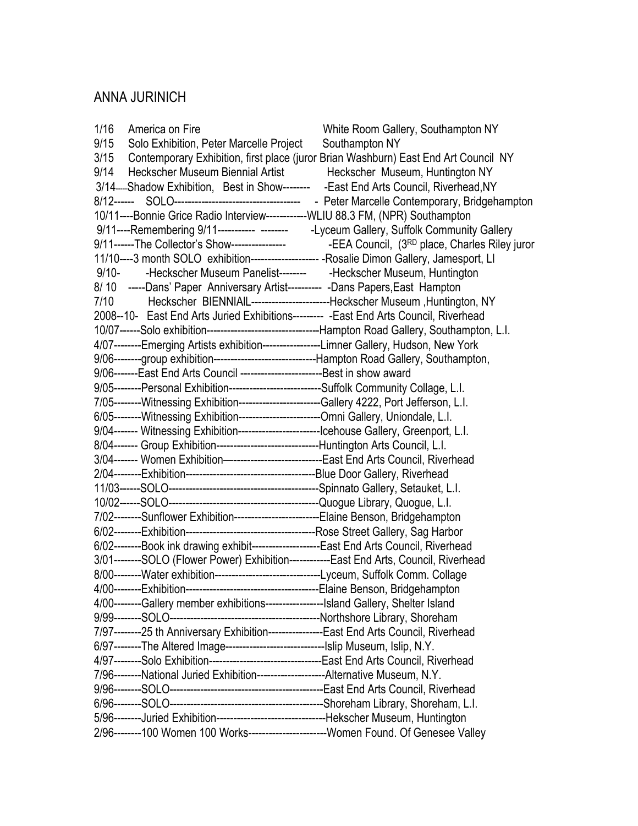# ANNA JURINICH

| 1/16<br>America on Fire                                                                             | White Room Gallery, Southampton NY                                           |
|-----------------------------------------------------------------------------------------------------|------------------------------------------------------------------------------|
| 9/15<br>Solo Exhibition, Peter Marcelle Project                                                     | Southampton NY                                                               |
| 3/15 Contemporary Exhibition, first place (juror Brian Washburn) East End Art Council NY            |                                                                              |
| 9/14<br>Heckscher Museum Biennial Artist                                                            | Heckscher Museum, Huntington NY                                              |
| 3/14. Shadow Exhibition, Best in Show-------- - East End Arts Council, Riverhead, NY                |                                                                              |
|                                                                                                     |                                                                              |
| 10/11----Bonnie Grice Radio Interview------------WLIU 88.3 FM, (NPR) Southampton                    |                                                                              |
| 9/11----Remembering 9/11----------- -------- -Lyceum Gallery, Suffolk Community Gallery             |                                                                              |
|                                                                                                     |                                                                              |
| 11/10----3 month SOLO exhibition-------------------- - Rosalie Dimon Gallery, Jamesport, LI         |                                                                              |
| -Heckscher Museum Panelist-------- - Heckscher Museum, Huntington<br>$9/10-$                        |                                                                              |
| 8/10 -----Dans' Paper Anniversary Artist---------- -Dans Papers, East Hampton                       |                                                                              |
| 7/10                                                                                                | Heckscher BIENNIAIL-------------------------Heckscher Museum, Huntington, NY |
| 2008--10- East End Arts Juried Exhibitions--------- - East End Arts Council, Riverhead              |                                                                              |
| 10/07------Solo exhibition----------------------------------Hampton Road Gallery, Southampton, L.I. |                                                                              |
| 4/07--------Emerging Artists exhibition-----------------Limner Gallery, Hudson, New York            |                                                                              |
| 9/06--------group exhibition-------------------------------Hampton Road Gallery, Southampton,       |                                                                              |
| 9/06-------East End Arts Council --------------------------Best in show award                       |                                                                              |
| 9/05--------Personal Exhibition--------------------------Suffolk Community Collage, L.I.            |                                                                              |
| 7/05--------Witnessing Exhibition-----------------------Gallery 4222, Port Jefferson, L.I.          |                                                                              |
| 6/05--------Witnessing Exhibition-------------------------Omni Gallery, Uniondale, L.I.             |                                                                              |
| 9/04------- Witnessing Exhibition--------------------------Icehouse Gallery, Greenport, L.I.        |                                                                              |
| 8/04------- Group Exhibition-------------------------------Huntington Arts Council, L.I.            |                                                                              |
| 3/04------- Women Exhibition-----------------------------East End Arts Council, Riverhead           |                                                                              |
|                                                                                                     |                                                                              |
|                                                                                                     |                                                                              |
|                                                                                                     |                                                                              |
| 7/02--------Sunflower Exhibition--------------------------Elaine Benson, Bridgehampton              |                                                                              |
|                                                                                                     |                                                                              |
| 6/02--------Book ink drawing exhibit--------------------East End Arts Council, Riverhead            |                                                                              |
| 3/01--------SOLO (Flower Power) Exhibition------------East End Arts, Council, Riverhead             |                                                                              |
| 8/00--------Water exhibition------------------------------Lyceum, Suffolk Comm. Collage             |                                                                              |
| 4/00--------Exhibition---                                                                           | ------------------------------------Elaine Benson, Bridgehampton             |
| 4/00--------Gallery member exhibitions------------------Island Gallery, Shelter Island              |                                                                              |
|                                                                                                     |                                                                              |
| 7/97--------25 th Anniversary Exhibition----------------East End Arts Council, Riverhead            |                                                                              |
| 6/97--------The Altered Image-------------------------------Islip Museum, Islip, N.Y.               |                                                                              |
| 4/97--------Solo Exhibition---------------------------------East End Arts Council, Riverhead        |                                                                              |
| 7/96--------National Juried Exhibition---------------------Alternative Museum, N.Y.                 |                                                                              |
|                                                                                                     |                                                                              |
|                                                                                                     |                                                                              |
| 5/96--------Juried Exhibition---------------------------------Hekscher Museum, Huntington           |                                                                              |
| 2/96--------100 Women 100 Works------------------------Women Found. Of Genesee Valley               |                                                                              |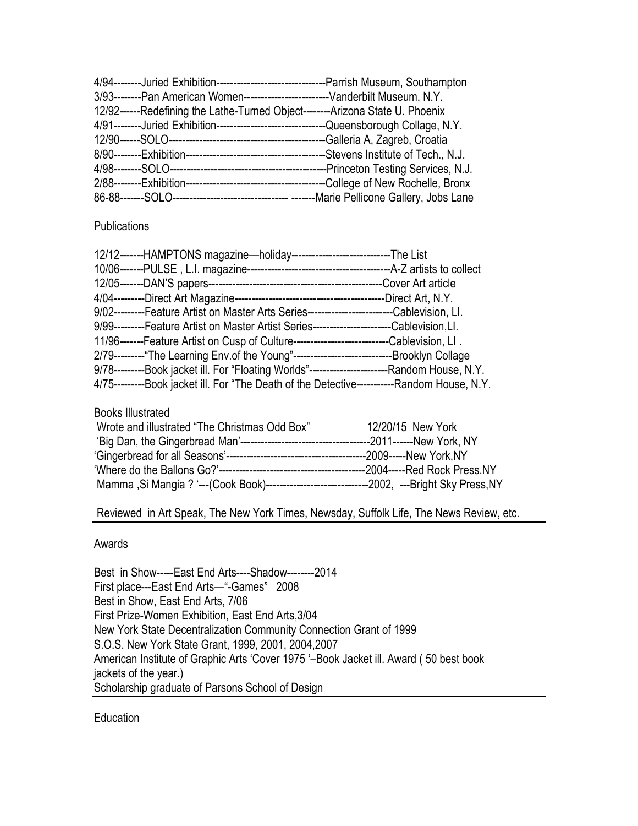| 3/93--------Pan American Women---------------------------Vanderbilt Museum, N.Y.          |  |
|-------------------------------------------------------------------------------------------|--|
| 12/92------Redefining the Lathe-Turned Object--------Arizona State U. Phoenix             |  |
| 4/91--------Juried Exhibition---------------------------------Queensborough Collage, N.Y. |  |
|                                                                                           |  |
|                                                                                           |  |
|                                                                                           |  |
|                                                                                           |  |
|                                                                                           |  |

### **Publications**

| 12/12-------HAMPTONS magazine-holiday-------------------------------The List                       |                              |
|----------------------------------------------------------------------------------------------------|------------------------------|
|                                                                                                    |                              |
|                                                                                                    | -Cover Art article           |
|                                                                                                    | -Direct Art, N.Y.            |
| 9/02---------Feature Artist on Master Arts Series----------------------------Cablevision, LI.      |                              |
| 9/99---------Feature Artist on Master Artist Series-------------------------Cablevision, LI.       |                              |
| 11/96-------Feature Artist on Cusp of Culture----------------------------                          | -Cablevision, LI.            |
| 2/79---------"The Learning Env.of the Young"----------------------------                           | -Brooklyn Collage            |
| 9/78---------Book jacket ill. For "Floating Worlds"-----------------------------Random House, N.Y. |                              |
| 4/75---------Book jacket ill. For "The Death of the Detective---                                   | ----------Random House, N.Y. |

#### Books Illustrated

| Wrote and illustrated "The Christmas Odd Box" | 12/20/15 New York |
|-----------------------------------------------|-------------------|
|                                               |                   |
|                                               |                   |
|                                               |                   |
|                                               |                   |

Reviewed in Art Speak, The New York Times, Newsday, Suffolk Life, The News Review, etc.

#### Awards

Best in Show-----East End Arts----Shadow--------2014 First place---East End Arts—"-Games" 2008 Best in Show, East End Arts, 7/06 First Prize-Women Exhibition, East End Arts,3/04 New York State Decentralization Community Connection Grant of 1999 S.O.S. New York State Grant, 1999, 2001, 2004,2007 American Institute of Graphic Arts 'Cover 1975 '–Book Jacket ill. Award ( 50 best book jackets of the year.) Scholarship graduate of Parsons School of Design

Education